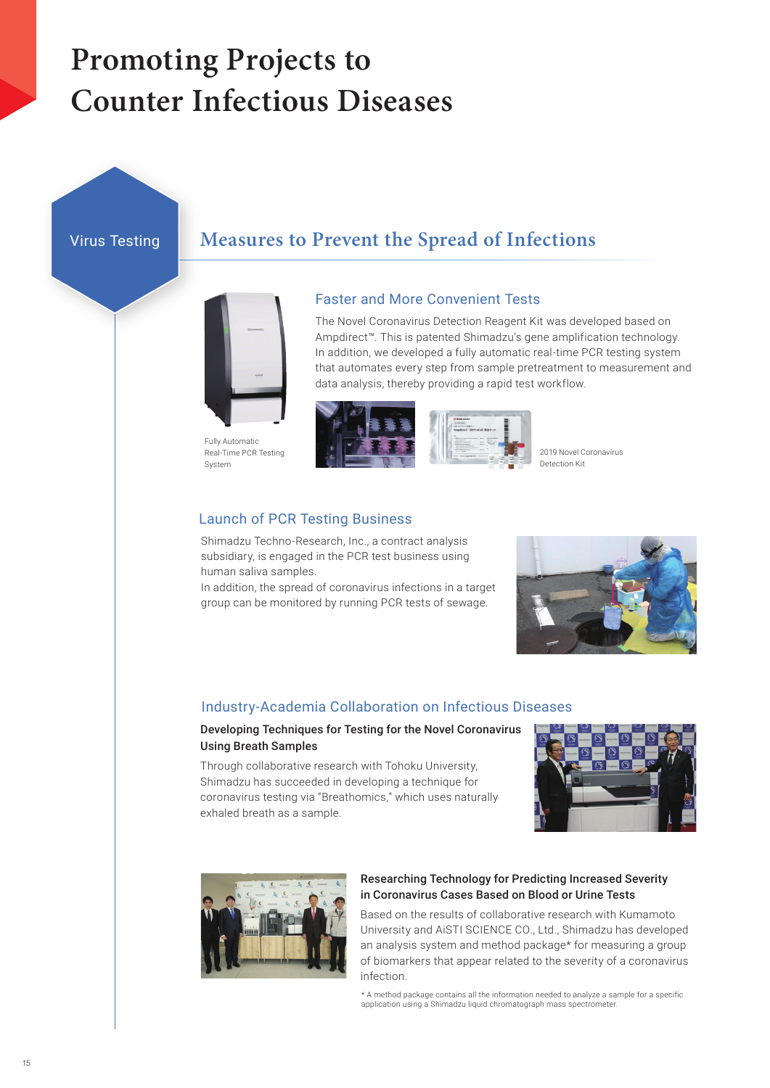# **Promoting Projects to Counter Infectious Diseases**

Virus Testing

## **Measures to Prevent the Spread of Infections**



Fully Automatic Real-Time PCR Testing System

#### Faster and More Convenient Tests

The Novel Coronavirus Detection Reagent Kit was developed based on Ampdirect™. This is patented Shimadzu's gene amplification technology. In addition, we developed a fully automatic real-time PCR testing system that automates every step from sample pretreatment to measurement and data analysis, thereby providing a rapid test workflow.



2019 Novel Coronavirus Detection Kit

### Launch of PCR Testing Business

Shimadzu Techno-Research, Inc., a contract analysis subsidiary, is engaged in the PCR test business using human saliva samples.

In addition, the spread of coronavirus infections in a target group can be monitored by running PCR tests of sewage.



#### Industry-Academia Collaboration on Infectious Diseases

#### Developing Techniques for Testing for the Novel Coronavirus Using Breath Samples

Through collaborative research with Tohoku University, Shimadzu has succeeded in developing a technique for coronavirus testing via "Breathomics," which uses naturally exhaled breath as a sample.





#### Researching Technology for Predicting Increased Severity in Coronavirus Cases Based on Blood or Urine Tests

Based on the results of collaborative research with Kumamoto University and AiSTI SCIENCE CO., Ltd., Shimadzu has developed an analysis system and method package\* for measuring a group of biomarkers that appear related to the severity of a coronavirus infection.

\* A method package contains all the information needed to analyze a sample for a specific application using a Shimadzu liquid chromatograph mass spectrometer.